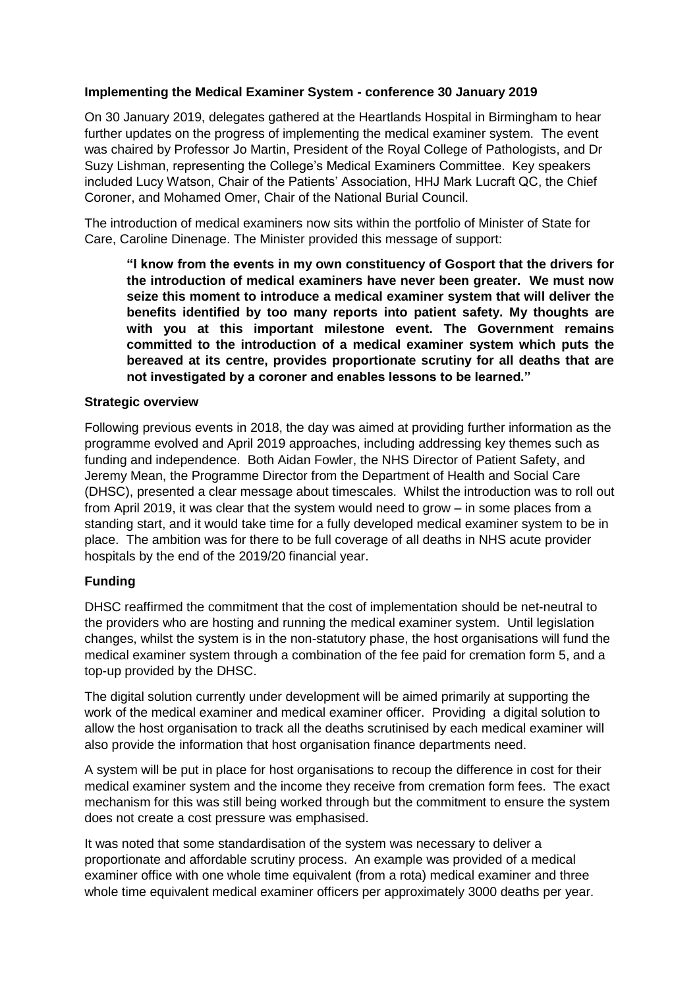# **Implementing the Medical Examiner System - conference 30 January 2019**

On 30 January 2019, delegates gathered at the Heartlands Hospital in Birmingham to hear further updates on the progress of implementing the medical examiner system. The event was chaired by Professor Jo Martin, President of the Royal College of Pathologists, and Dr Suzy Lishman, representing the College's Medical Examiners Committee. Key speakers included Lucy Watson, Chair of the Patients' Association, HHJ Mark Lucraft QC, the Chief Coroner, and Mohamed Omer, Chair of the National Burial Council.

The introduction of medical examiners now sits within the portfolio of Minister of State for Care, Caroline Dinenage. The Minister provided this message of support:

**"I know from the events in my own constituency of Gosport that the drivers for the introduction of medical examiners have never been greater. We must now seize this moment to introduce a medical examiner system that will deliver the benefits identified by too many reports into patient safety. My thoughts are with you at this important milestone event. The Government remains committed to the introduction of a medical examiner system which puts the bereaved at its centre, provides proportionate scrutiny for all deaths that are not investigated by a coroner and enables lessons to be learned."**

#### **Strategic overview**

Following previous events in 2018, the day was aimed at providing further information as the programme evolved and April 2019 approaches, including addressing key themes such as funding and independence. Both Aidan Fowler, the NHS Director of Patient Safety, and Jeremy Mean, the Programme Director from the Department of Health and Social Care (DHSC), presented a clear message about timescales. Whilst the introduction was to roll out from April 2019, it was clear that the system would need to grow – in some places from a standing start, and it would take time for a fully developed medical examiner system to be in place. The ambition was for there to be full coverage of all deaths in NHS acute provider hospitals by the end of the 2019/20 financial year.

## **Funding**

DHSC reaffirmed the commitment that the cost of implementation should be net-neutral to the providers who are hosting and running the medical examiner system. Until legislation changes, whilst the system is in the non-statutory phase, the host organisations will fund the medical examiner system through a combination of the fee paid for cremation form 5, and a top-up provided by the DHSC.

The digital solution currently under development will be aimed primarily at supporting the work of the medical examiner and medical examiner officer. Providing a digital solution to allow the host organisation to track all the deaths scrutinised by each medical examiner will also provide the information that host organisation finance departments need.

A system will be put in place for host organisations to recoup the difference in cost for their medical examiner system and the income they receive from cremation form fees. The exact mechanism for this was still being worked through but the commitment to ensure the system does not create a cost pressure was emphasised.

It was noted that some standardisation of the system was necessary to deliver a proportionate and affordable scrutiny process. An example was provided of a medical examiner office with one whole time equivalent (from a rota) medical examiner and three whole time equivalent medical examiner officers per approximately 3000 deaths per year.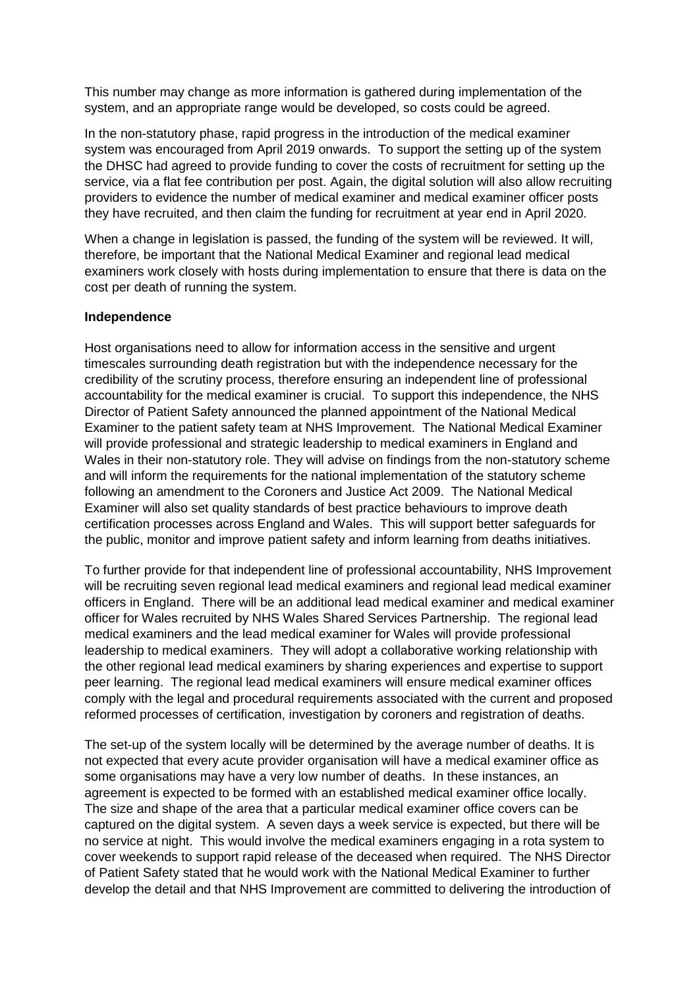This number may change as more information is gathered during implementation of the system, and an appropriate range would be developed, so costs could be agreed.

In the non-statutory phase, rapid progress in the introduction of the medical examiner system was encouraged from April 2019 onwards. To support the setting up of the system the DHSC had agreed to provide funding to cover the costs of recruitment for setting up the service, via a flat fee contribution per post. Again, the digital solution will also allow recruiting providers to evidence the number of medical examiner and medical examiner officer posts they have recruited, and then claim the funding for recruitment at year end in April 2020.

When a change in legislation is passed, the funding of the system will be reviewed. It will, therefore, be important that the National Medical Examiner and regional lead medical examiners work closely with hosts during implementation to ensure that there is data on the cost per death of running the system.

#### **Independence**

Host organisations need to allow for information access in the sensitive and urgent timescales surrounding death registration but with the independence necessary for the credibility of the scrutiny process, therefore ensuring an independent line of professional accountability for the medical examiner is crucial. To support this independence, the NHS Director of Patient Safety announced the planned appointment of the National Medical Examiner to the patient safety team at NHS Improvement. The National Medical Examiner will provide professional and strategic leadership to medical examiners in England and Wales in their non-statutory role. They will advise on findings from the non-statutory scheme and will inform the requirements for the national implementation of the statutory scheme following an amendment to the Coroners and Justice Act 2009. The National Medical Examiner will also set quality standards of best practice behaviours to improve death certification processes across England and Wales. This will support better safeguards for the public, monitor and improve patient safety and inform learning from deaths initiatives.

To further provide for that independent line of professional accountability, NHS Improvement will be recruiting seven regional lead medical examiners and regional lead medical examiner officers in England. There will be an additional lead medical examiner and medical examiner officer for Wales recruited by NHS Wales Shared Services Partnership. The regional lead medical examiners and the lead medical examiner for Wales will provide professional leadership to medical examiners. They will adopt a collaborative working relationship with the other regional lead medical examiners by sharing experiences and expertise to support peer learning. The regional lead medical examiners will ensure medical examiner offices comply with the legal and procedural requirements associated with the current and proposed reformed processes of certification, investigation by coroners and registration of deaths.

The set-up of the system locally will be determined by the average number of deaths. It is not expected that every acute provider organisation will have a medical examiner office as some organisations may have a very low number of deaths. In these instances, an agreement is expected to be formed with an established medical examiner office locally. The size and shape of the area that a particular medical examiner office covers can be captured on the digital system. A seven days a week service is expected, but there will be no service at night. This would involve the medical examiners engaging in a rota system to cover weekends to support rapid release of the deceased when required. The NHS Director of Patient Safety stated that he would work with the National Medical Examiner to further develop the detail and that NHS Improvement are committed to delivering the introduction of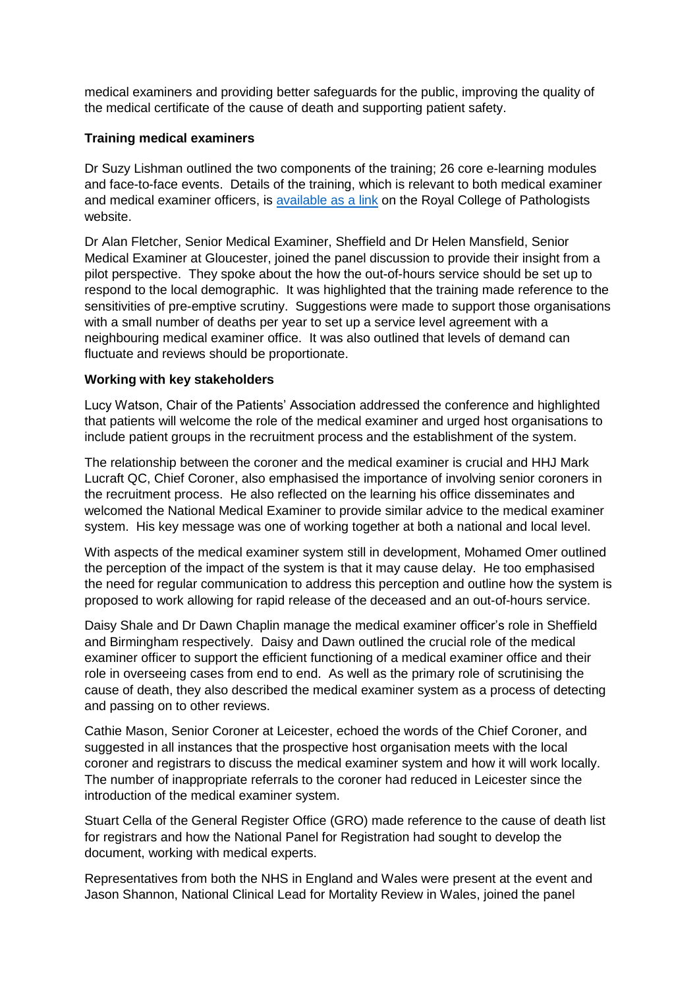medical examiners and providing better safeguards for the public, improving the quality of the medical certificate of the cause of death and supporting patient safety.

## **Training medical examiners**

Dr Suzy Lishman outlined the two components of the training; 26 core e-learning modules and face-to-face events. Details of the training, which is relevant to both medical examiner and medical examiner officers, is [available as a link](https://www.rcpath.org/profession/medical-examiners/become-a-medical-examiner.html) on the Royal College of Pathologists website.

Dr Alan Fletcher, Senior Medical Examiner, Sheffield and Dr Helen Mansfield, Senior Medical Examiner at Gloucester, joined the panel discussion to provide their insight from a pilot perspective. They spoke about the how the out-of-hours service should be set up to respond to the local demographic. It was highlighted that the training made reference to the sensitivities of pre-emptive scrutiny. Suggestions were made to support those organisations with a small number of deaths per year to set up a service level agreement with a neighbouring medical examiner office. It was also outlined that levels of demand can fluctuate and reviews should be proportionate.

## **Working with key stakeholders**

Lucy Watson, Chair of the Patients' Association addressed the conference and highlighted that patients will welcome the role of the medical examiner and urged host organisations to include patient groups in the recruitment process and the establishment of the system.

The relationship between the coroner and the medical examiner is crucial and HHJ Mark Lucraft QC, Chief Coroner, also emphasised the importance of involving senior coroners in the recruitment process. He also reflected on the learning his office disseminates and welcomed the National Medical Examiner to provide similar advice to the medical examiner system. His key message was one of working together at both a national and local level.

With aspects of the medical examiner system still in development, Mohamed Omer outlined the perception of the impact of the system is that it may cause delay. He too emphasised the need for regular communication to address this perception and outline how the system is proposed to work allowing for rapid release of the deceased and an out-of-hours service.

Daisy Shale and Dr Dawn Chaplin manage the medical examiner officer's role in Sheffield and Birmingham respectively. Daisy and Dawn outlined the crucial role of the medical examiner officer to support the efficient functioning of a medical examiner office and their role in overseeing cases from end to end. As well as the primary role of scrutinising the cause of death, they also described the medical examiner system as a process of detecting and passing on to other reviews.

Cathie Mason, Senior Coroner at Leicester, echoed the words of the Chief Coroner, and suggested in all instances that the prospective host organisation meets with the local coroner and registrars to discuss the medical examiner system and how it will work locally. The number of inappropriate referrals to the coroner had reduced in Leicester since the introduction of the medical examiner system.

Stuart Cella of the General Register Office (GRO) made reference to the cause of death list for registrars and how the National Panel for Registration had sought to develop the document, working with medical experts.

Representatives from both the NHS in England and Wales were present at the event and Jason Shannon, National Clinical Lead for Mortality Review in Wales, joined the panel